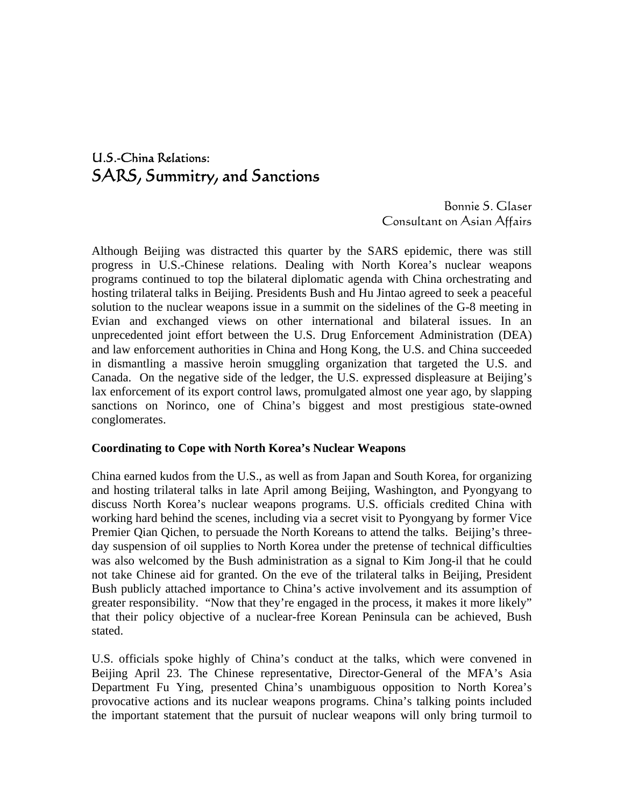# U.S.-China Relations: SARS, Summitry, and Sanctions

Bonnie S. Glaser Consultant on Asian Affairs

Although Beijing was distracted this quarter by the SARS epidemic, there was still progress in U.S.-Chinese relations. Dealing with North Korea's nuclear weapons programs continued to top the bilateral diplomatic agenda with China orchestrating and hosting trilateral talks in Beijing. Presidents Bush and Hu Jintao agreed to seek a peaceful solution to the nuclear weapons issue in a summit on the sidelines of the G-8 meeting in Evian and exchanged views on other international and bilateral issues. In an unprecedented joint effort between the U.S. Drug Enforcement Administration (DEA) and law enforcement authorities in China and Hong Kong, the U.S. and China succeeded in dismantling a massive heroin smuggling organization that targeted the U.S. and Canada. On the negative side of the ledger, the U.S. expressed displeasure at Beijing's lax enforcement of its export control laws, promulgated almost one year ago, by slapping sanctions on Norinco, one of China's biggest and most prestigious state-owned conglomerates.

#### **Coordinating to Cope with North Korea's Nuclear Weapons**

China earned kudos from the U.S., as well as from Japan and South Korea, for organizing and hosting trilateral talks in late April among Beijing, Washington, and Pyongyang to discuss North Korea's nuclear weapons programs. U.S. officials credited China with working hard behind the scenes, including via a secret visit to Pyongyang by former Vice Premier Qian Qichen, to persuade the North Koreans to attend the talks. Beijing's threeday suspension of oil supplies to North Korea under the pretense of technical difficulties was also welcomed by the Bush administration as a signal to Kim Jong-il that he could not take Chinese aid for granted. On the eve of the trilateral talks in Beijing, President Bush publicly attached importance to China's active involvement and its assumption of greater responsibility. "Now that they're engaged in the process, it makes it more likely" that their policy objective of a nuclear-free Korean Peninsula can be achieved, Bush stated.

U.S. officials spoke highly of China's conduct at the talks, which were convened in Beijing April 23. The Chinese representative, Director-General of the MFA's Asia Department Fu Ying, presented China's unambiguous opposition to North Korea's provocative actions and its nuclear weapons programs. China's talking points included the important statement that the pursuit of nuclear weapons will only bring turmoil to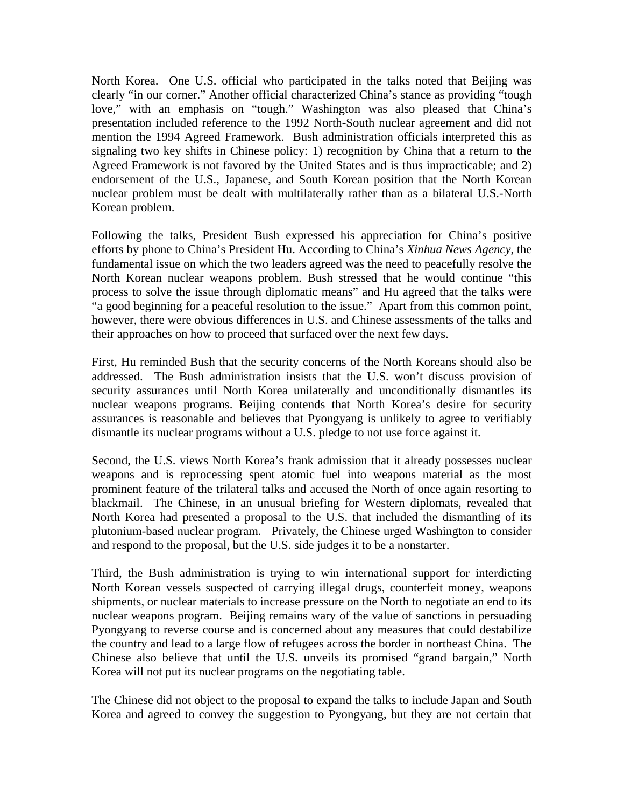North Korea. One U.S. official who participated in the talks noted that Beijing was clearly "in our corner." Another official characterized China's stance as providing "tough love," with an emphasis on "tough." Washington was also pleased that China's presentation included reference to the 1992 North-South nuclear agreement and did not mention the 1994 Agreed Framework. Bush administration officials interpreted this as signaling two key shifts in Chinese policy: 1) recognition by China that a return to the Agreed Framework is not favored by the United States and is thus impracticable; and 2) endorsement of the U.S., Japanese, and South Korean position that the North Korean nuclear problem must be dealt with multilaterally rather than as a bilateral U.S.-North Korean problem.

Following the talks, President Bush expressed his appreciation for China's positive efforts by phone to China's President Hu. According to China's *Xinhua News Agency*, the fundamental issue on which the two leaders agreed was the need to peacefully resolve the North Korean nuclear weapons problem. Bush stressed that he would continue "this process to solve the issue through diplomatic means" and Hu agreed that the talks were "a good beginning for a peaceful resolution to the issue." Apart from this common point, however, there were obvious differences in U.S. and Chinese assessments of the talks and their approaches on how to proceed that surfaced over the next few days.

First, Hu reminded Bush that the security concerns of the North Koreans should also be addressed. The Bush administration insists that the U.S. won't discuss provision of security assurances until North Korea unilaterally and unconditionally dismantles its nuclear weapons programs. Beijing contends that North Korea's desire for security assurances is reasonable and believes that Pyongyang is unlikely to agree to verifiably dismantle its nuclear programs without a U.S. pledge to not use force against it.

Second, the U.S. views North Korea's frank admission that it already possesses nuclear weapons and is reprocessing spent atomic fuel into weapons material as the most prominent feature of the trilateral talks and accused the North of once again resorting to blackmail. The Chinese, in an unusual briefing for Western diplomats, revealed that North Korea had presented a proposal to the U.S. that included the dismantling of its plutonium-based nuclear program. Privately, the Chinese urged Washington to consider and respond to the proposal, but the U.S. side judges it to be a nonstarter.

Third, the Bush administration is trying to win international support for interdicting North Korean vessels suspected of carrying illegal drugs, counterfeit money, weapons shipments, or nuclear materials to increase pressure on the North to negotiate an end to its nuclear weapons program. Beijing remains wary of the value of sanctions in persuading Pyongyang to reverse course and is concerned about any measures that could destabilize the country and lead to a large flow of refugees across the border in northeast China. The Chinese also believe that until the U.S. unveils its promised "grand bargain," North Korea will not put its nuclear programs on the negotiating table.

The Chinese did not object to the proposal to expand the talks to include Japan and South Korea and agreed to convey the suggestion to Pyongyang, but they are not certain that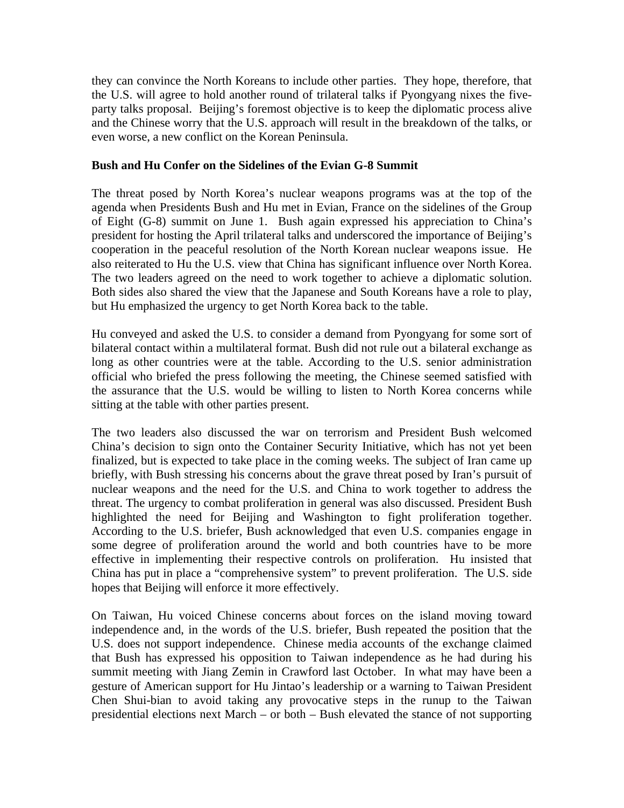they can convince the North Koreans to include other parties. They hope, therefore, that the U.S. will agree to hold another round of trilateral talks if Pyongyang nixes the fiveparty talks proposal. Beijing's foremost objective is to keep the diplomatic process alive and the Chinese worry that the U.S. approach will result in the breakdown of the talks, or even worse, a new conflict on the Korean Peninsula.

#### **Bush and Hu Confer on the Sidelines of the Evian G-8 Summit**

The threat posed by North Korea's nuclear weapons programs was at the top of the agenda when Presidents Bush and Hu met in Evian, France on the sidelines of the Group of Eight (G-8) summit on June 1. Bush again expressed his appreciation to China's president for hosting the April trilateral talks and underscored the importance of Beijing's cooperation in the peaceful resolution of the North Korean nuclear weapons issue. He also reiterated to Hu the U.S. view that China has significant influence over North Korea. The two leaders agreed on the need to work together to achieve a diplomatic solution. Both sides also shared the view that the Japanese and South Koreans have a role to play, but Hu emphasized the urgency to get North Korea back to the table.

Hu conveyed and asked the U.S. to consider a demand from Pyongyang for some sort of bilateral contact within a multilateral format. Bush did not rule out a bilateral exchange as long as other countries were at the table. According to the U.S. senior administration official who briefed the press following the meeting, the Chinese seemed satisfied with the assurance that the U.S. would be willing to listen to North Korea concerns while sitting at the table with other parties present.

The two leaders also discussed the war on terrorism and President Bush welcomed China's decision to sign onto the Container Security Initiative, which has not yet been finalized, but is expected to take place in the coming weeks. The subject of Iran came up briefly, with Bush stressing his concerns about the grave threat posed by Iran's pursuit of nuclear weapons and the need for the U.S. and China to work together to address the threat. The urgency to combat proliferation in general was also discussed. President Bush highlighted the need for Beijing and Washington to fight proliferation together. According to the U.S. briefer, Bush acknowledged that even U.S. companies engage in some degree of proliferation around the world and both countries have to be more effective in implementing their respective controls on proliferation. Hu insisted that China has put in place a "comprehensive system" to prevent proliferation. The U.S. side hopes that Beijing will enforce it more effectively.

On Taiwan, Hu voiced Chinese concerns about forces on the island moving toward independence and, in the words of the U.S. briefer, Bush repeated the position that the U.S. does not support independence. Chinese media accounts of the exchange claimed that Bush has expressed his opposition to Taiwan independence as he had during his summit meeting with Jiang Zemin in Crawford last October. In what may have been a gesture of American support for Hu Jintao's leadership or a warning to Taiwan President Chen Shui-bian to avoid taking any provocative steps in the runup to the Taiwan presidential elections next March – or both – Bush elevated the stance of not supporting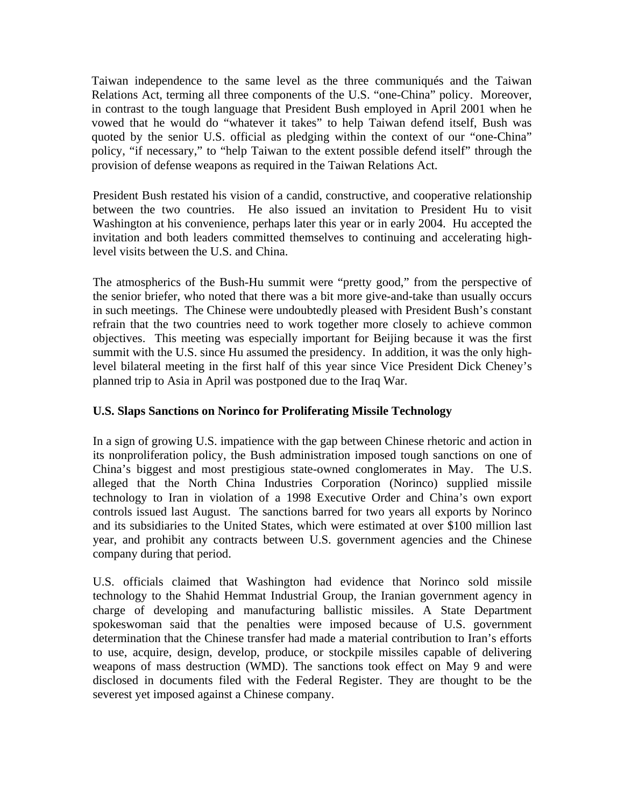Taiwan independence to the same level as the three communiqués and the Taiwan Relations Act, terming all three components of the U.S. "one-China" policy. Moreover, in contrast to the tough language that President Bush employed in April 2001 when he vowed that he would do "whatever it takes" to help Taiwan defend itself, Bush was quoted by the senior U.S. official as pledging within the context of our "one-China" policy, "if necessary," to "help Taiwan to the extent possible defend itself" through the provision of defense weapons as required in the Taiwan Relations Act.

President Bush restated his vision of a candid, constructive, and cooperative relationship between the two countries. He also issued an invitation to President Hu to visit Washington at his convenience, perhaps later this year or in early 2004. Hu accepted the invitation and both leaders committed themselves to continuing and accelerating highlevel visits between the U.S. and China.

The atmospherics of the Bush-Hu summit were "pretty good," from the perspective of the senior briefer, who noted that there was a bit more give-and-take than usually occurs in such meetings. The Chinese were undoubtedly pleased with President Bush's constant refrain that the two countries need to work together more closely to achieve common objectives. This meeting was especially important for Beijing because it was the first summit with the U.S. since Hu assumed the presidency. In addition, it was the only highlevel bilateral meeting in the first half of this year since Vice President Dick Cheney's planned trip to Asia in April was postponed due to the Iraq War.

## **U.S. Slaps Sanctions on Norinco for Proliferating Missile Technology**

In a sign of growing U.S. impatience with the gap between Chinese rhetoric and action in its nonproliferation policy, the Bush administration imposed tough sanctions on one of China's biggest and most prestigious state-owned conglomerates in May. The U.S. alleged that the North China Industries Corporation (Norinco) supplied missile technology to Iran in violation of a 1998 Executive Order and China's own export controls issued last August. The sanctions barred for two years all exports by Norinco and its subsidiaries to the United States, which were estimated at over \$100 million last year, and prohibit any contracts between U.S. government agencies and the Chinese company during that period.

U.S. officials claimed that Washington had evidence that Norinco sold missile technology to the Shahid Hemmat Industrial Group, the Iranian government agency in charge of developing and manufacturing ballistic missiles. A State Department spokeswoman said that the penalties were imposed because of U.S. government determination that the Chinese transfer had made a material contribution to Iran's efforts to use, acquire, design, develop, produce, or stockpile missiles capable of delivering weapons of mass destruction (WMD). The sanctions took effect on May 9 and were disclosed in documents filed with the Federal Register. They are thought to be the severest yet imposed against a Chinese company.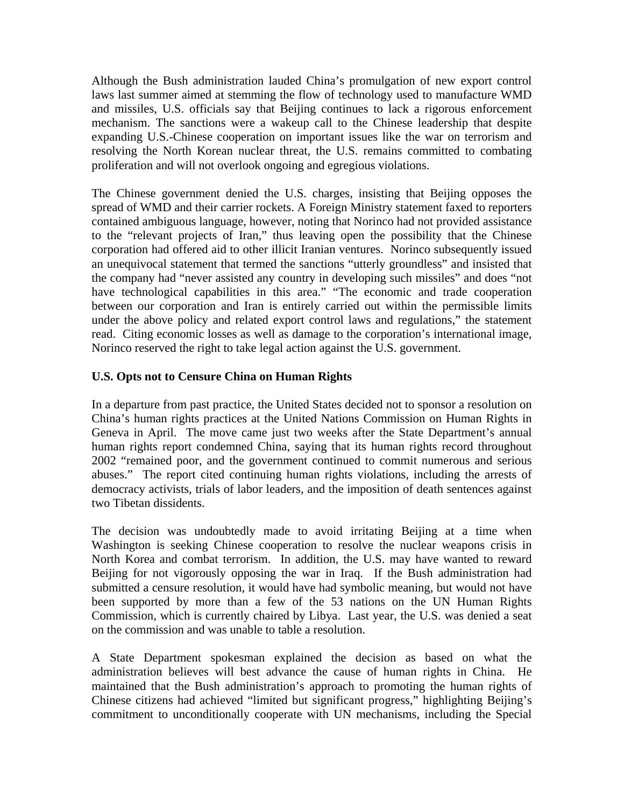Although the Bush administration lauded China's promulgation of new export control laws last summer aimed at stemming the flow of technology used to manufacture WMD and missiles, U.S. officials say that Beijing continues to lack a rigorous enforcement mechanism. The sanctions were a wakeup call to the Chinese leadership that despite expanding U.S.-Chinese cooperation on important issues like the war on terrorism and resolving the North Korean nuclear threat, the U.S. remains committed to combating proliferation and will not overlook ongoing and egregious violations.

The Chinese government denied the U.S. charges, insisting that Beijing opposes the spread of WMD and their carrier rockets. A Foreign Ministry statement faxed to reporters contained ambiguous language, however, noting that Norinco had not provided assistance to the "relevant projects of Iran," thus leaving open the possibility that the Chinese corporation had offered aid to other illicit Iranian ventures. Norinco subsequently issued an unequivocal statement that termed the sanctions "utterly groundless" and insisted that the company had "never assisted any country in developing such missiles" and does "not have technological capabilities in this area." "The economic and trade cooperation between our corporation and Iran is entirely carried out within the permissible limits under the above policy and related export control laws and regulations," the statement read. Citing economic losses as well as damage to the corporation's international image, Norinco reserved the right to take legal action against the U.S. government.

## **U.S. Opts not to Censure China on Human Rights**

In a departure from past practice, the United States decided not to sponsor a resolution on China's human rights practices at the United Nations Commission on Human Rights in Geneva in April. The move came just two weeks after the State Department's annual human rights report condemned China, saying that its human rights record throughout 2002 "remained poor, and the government continued to commit numerous and serious abuses." The report cited continuing human rights violations, including the arrests of democracy activists, trials of labor leaders, and the imposition of death sentences against two Tibetan dissidents.

The decision was undoubtedly made to avoid irritating Beijing at a time when Washington is seeking Chinese cooperation to resolve the nuclear weapons crisis in North Korea and combat terrorism. In addition, the U.S. may have wanted to reward Beijing for not vigorously opposing the war in Iraq. If the Bush administration had submitted a censure resolution, it would have had symbolic meaning, but would not have been supported by more than a few of the 53 nations on the UN Human Rights Commission, which is currently chaired by Libya. Last year, the U.S. was denied a seat on the commission and was unable to table a resolution.

A State Department spokesman explained the decision as based on what the administration believes will best advance the cause of human rights in China. He maintained that the Bush administration's approach to promoting the human rights of Chinese citizens had achieved "limited but significant progress," highlighting Beijing's commitment to unconditionally cooperate with UN mechanisms, including the Special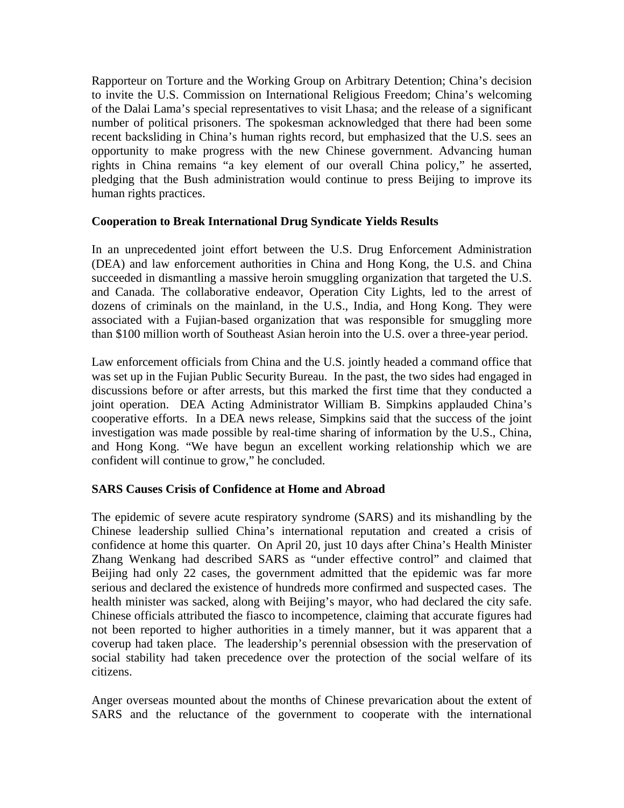Rapporteur on Torture and the Working Group on Arbitrary Detention; China's decision to invite the U.S. Commission on International Religious Freedom; China's welcoming of the Dalai Lama's special representatives to visit Lhasa; and the release of a significant number of political prisoners. The spokesman acknowledged that there had been some recent backsliding in China's human rights record, but emphasized that the U.S. sees an opportunity to make progress with the new Chinese government. Advancing human rights in China remains "a key element of our overall China policy," he asserted, pledging that the Bush administration would continue to press Beijing to improve its human rights practices.

#### **Cooperation to Break International Drug Syndicate Yields Results**

In an unprecedented joint effort between the U.S. Drug Enforcement Administration (DEA) and law enforcement authorities in China and Hong Kong, the U.S. and China succeeded in dismantling a massive heroin smuggling organization that targeted the U.S. and Canada. The collaborative endeavor, Operation City Lights, led to the arrest of dozens of criminals on the mainland, in the U.S., India, and Hong Kong. They were associated with a Fujian-based organization that was responsible for smuggling more than \$100 million worth of Southeast Asian heroin into the U.S. over a three-year period.

Law enforcement officials from China and the U.S. jointly headed a command office that was set up in the Fujian Public Security Bureau. In the past, the two sides had engaged in discussions before or after arrests, but this marked the first time that they conducted a joint operation. DEA Acting Administrator William B. Simpkins applauded China's cooperative efforts. In a DEA news release, Simpkins said that the success of the joint investigation was made possible by real-time sharing of information by the U.S., China, and Hong Kong. "We have begun an excellent working relationship which we are confident will continue to grow," he concluded.

## **SARS Causes Crisis of Confidence at Home and Abroad**

The epidemic of severe acute respiratory syndrome (SARS) and its mishandling by the Chinese leadership sullied China's international reputation and created a crisis of confidence at home this quarter. On April 20, just 10 days after China's Health Minister Zhang Wenkang had described SARS as "under effective control" and claimed that Beijing had only 22 cases, the government admitted that the epidemic was far more serious and declared the existence of hundreds more confirmed and suspected cases. The health minister was sacked, along with Beijing's mayor, who had declared the city safe. Chinese officials attributed the fiasco to incompetence, claiming that accurate figures had not been reported to higher authorities in a timely manner, but it was apparent that a coverup had taken place. The leadership's perennial obsession with the preservation of social stability had taken precedence over the protection of the social welfare of its citizens.

Anger overseas mounted about the months of Chinese prevarication about the extent of SARS and the reluctance of the government to cooperate with the international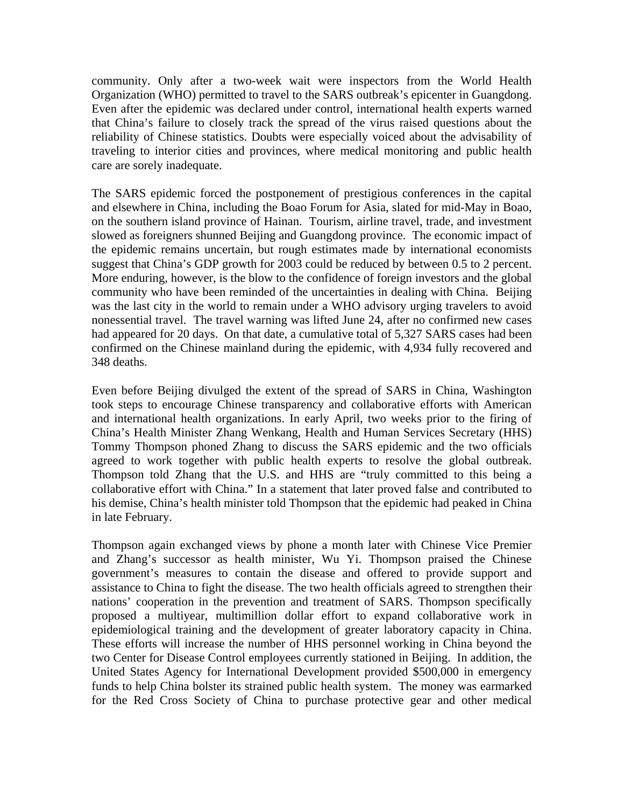community. Only after a two-week wait were inspectors from the World Health Organization (WHO) permitted to travel to the SARS outbreak's epicenter in Guangdong. Even after the epidemic was declared under control, international health experts warned that China's failure to closely track the spread of the virus raised questions about the reliability of Chinese statistics. Doubts were especially voiced about the advisability of traveling to interior cities and provinces, where medical monitoring and public health care are sorely inadequate.

The SARS epidemic forced the postponement of prestigious conferences in the capital and elsewhere in China, including the Boao Forum for Asia, slated for mid-May in Boao, on the southern island province of Hainan. Tourism, airline travel, trade, and investment slowed as foreigners shunned Beijing and Guangdong province. The economic impact of the epidemic remains uncertain, but rough estimates made by international economists suggest that China's GDP growth for 2003 could be reduced by between 0.5 to 2 percent. More enduring, however, is the blow to the confidence of foreign investors and the global community who have been reminded of the uncertainties in dealing with China. Beijing was the last city in the world to remain under a WHO advisory urging travelers to avoid nonessential travel. The travel warning was lifted June 24, after no confirmed new cases had appeared for 20 days. On that date, a cumulative total of 5,327 SARS cases had been confirmed on the Chinese mainland during the epidemic, with 4,934 fully recovered and 348 deaths.

Even before Beijing divulged the extent of the spread of SARS in China, Washington took steps to encourage Chinese transparency and collaborative efforts with American and international health organizations. In early April, two weeks prior to the firing of China's Health Minister Zhang Wenkang, Health and Human Services Secretary (HHS) Tommy Thompson phoned Zhang to discuss the SARS epidemic and the two officials agreed to work together with public health experts to resolve the global outbreak. Thompson told Zhang that the U.S. and HHS are "truly committed to this being a collaborative effort with China." In a statement that later proved false and contributed to his demise, China's health minister told Thompson that the epidemic had peaked in China in late February.

Thompson again exchanged views by phone a month later with Chinese Vice Premier and Zhang's successor as health minister, Wu Yi. Thompson praised the Chinese government's measures to contain the disease and offered to provide support and assistance to China to fight the disease. The two health officials agreed to strengthen their nations' cooperation in the prevention and treatment of SARS. Thompson specifically proposed a multiyear, multimillion dollar effort to expand collaborative work in epidemiological training and the development of greater laboratory capacity in China. These efforts will increase the number of HHS personnel working in China beyond the two Center for Disease Control employees currently stationed in Beijing. In addition, the United States Agency for International Development provided \$500,000 in emergency funds to help China bolster its strained public health system. The money was earmarked for the Red Cross Society of China to purchase protective gear and other medical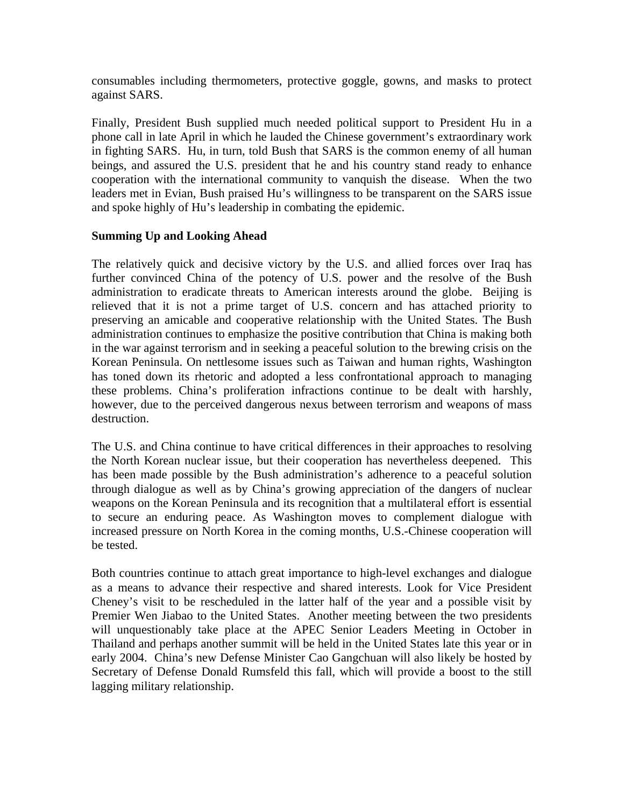consumables including thermometers, protective goggle, gowns, and masks to protect against SARS.

Finally, President Bush supplied much needed political support to President Hu in a phone call in late April in which he lauded the Chinese government's extraordinary work in fighting SARS. Hu, in turn, told Bush that SARS is the common enemy of all human beings, and assured the U.S. president that he and his country stand ready to enhance cooperation with the international community to vanquish the disease. When the two leaders met in Evian, Bush praised Hu's willingness to be transparent on the SARS issue and spoke highly of Hu's leadership in combating the epidemic.

#### **Summing Up and Looking Ahead**

The relatively quick and decisive victory by the U.S. and allied forces over Iraq has further convinced China of the potency of U.S. power and the resolve of the Bush administration to eradicate threats to American interests around the globe. Beijing is relieved that it is not a prime target of U.S. concern and has attached priority to preserving an amicable and cooperative relationship with the United States. The Bush administration continues to emphasize the positive contribution that China is making both in the war against terrorism and in seeking a peaceful solution to the brewing crisis on the Korean Peninsula. On nettlesome issues such as Taiwan and human rights, Washington has toned down its rhetoric and adopted a less confrontational approach to managing these problems. China's proliferation infractions continue to be dealt with harshly, however, due to the perceived dangerous nexus between terrorism and weapons of mass destruction.

The U.S. and China continue to have critical differences in their approaches to resolving the North Korean nuclear issue, but their cooperation has nevertheless deepened. This has been made possible by the Bush administration's adherence to a peaceful solution through dialogue as well as by China's growing appreciation of the dangers of nuclear weapons on the Korean Peninsula and its recognition that a multilateral effort is essential to secure an enduring peace. As Washington moves to complement dialogue with increased pressure on North Korea in the coming months, U.S.-Chinese cooperation will be tested.

Both countries continue to attach great importance to high-level exchanges and dialogue as a means to advance their respective and shared interests. Look for Vice President Cheney's visit to be rescheduled in the latter half of the year and a possible visit by Premier Wen Jiabao to the United States. Another meeting between the two presidents will unquestionably take place at the APEC Senior Leaders Meeting in October in Thailand and perhaps another summit will be held in the United States late this year or in early 2004. China's new Defense Minister Cao Gangchuan will also likely be hosted by Secretary of Defense Donald Rumsfeld this fall, which will provide a boost to the still lagging military relationship.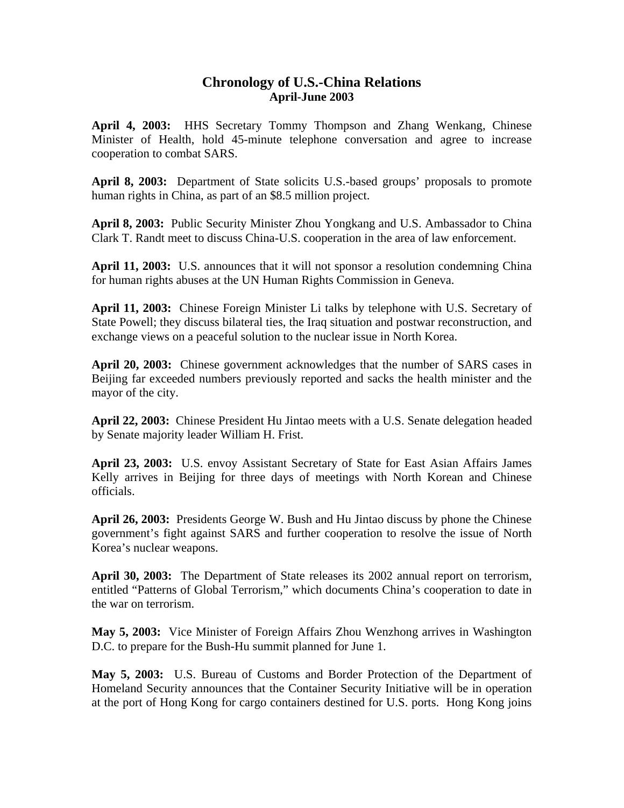## **Chronology of U.S.-China Relations April-June 2003**

**April 4, 2003:** HHS Secretary Tommy Thompson and Zhang Wenkang, Chinese Minister of Health, hold 45-minute telephone conversation and agree to increase cooperation to combat SARS.

**April 8, 2003:** Department of State solicits U.S.-based groups' proposals to promote human rights in China, as part of an \$8.5 million project.

**April 8, 2003:** Public Security Minister Zhou Yongkang and U.S. Ambassador to China Clark T. Randt meet to discuss China-U.S. cooperation in the area of law enforcement.

**April 11, 2003:** U.S. announces that it will not sponsor a resolution condemning China for human rights abuses at the UN Human Rights Commission in Geneva.

**April 11, 2003:** Chinese Foreign Minister Li talks by telephone with U.S. Secretary of State Powell; they discuss bilateral ties, the Iraq situation and postwar reconstruction, and exchange views on a peaceful solution to the nuclear issue in North Korea.

**April 20, 2003:** Chinese government acknowledges that the number of SARS cases in Beijing far exceeded numbers previously reported and sacks the health minister and the mayor of the city.

**April 22, 2003:** Chinese President Hu Jintao meets with a U.S. Senate delegation headed by Senate majority leader William H. Frist.

**April 23, 2003:** U.S. envoy Assistant Secretary of State for East Asian Affairs James Kelly arrives in Beijing for three days of meetings with North Korean and Chinese officials.

**April 26, 2003:** Presidents George W. Bush and Hu Jintao discuss by phone the Chinese government's fight against SARS and further cooperation to resolve the issue of North Korea's nuclear weapons.

**April 30, 2003:** The Department of State releases its 2002 annual report on terrorism, entitled "Patterns of Global Terrorism," which documents China's cooperation to date in the war on terrorism.

**May 5, 2003:** Vice Minister of Foreign Affairs Zhou Wenzhong arrives in Washington D.C. to prepare for the Bush-Hu summit planned for June 1.

**May 5, 2003:** U.S. Bureau of Customs and Border Protection of the Department of Homeland Security announces that the Container Security Initiative will be in operation at the port of Hong Kong for cargo containers destined for U.S. ports. Hong Kong joins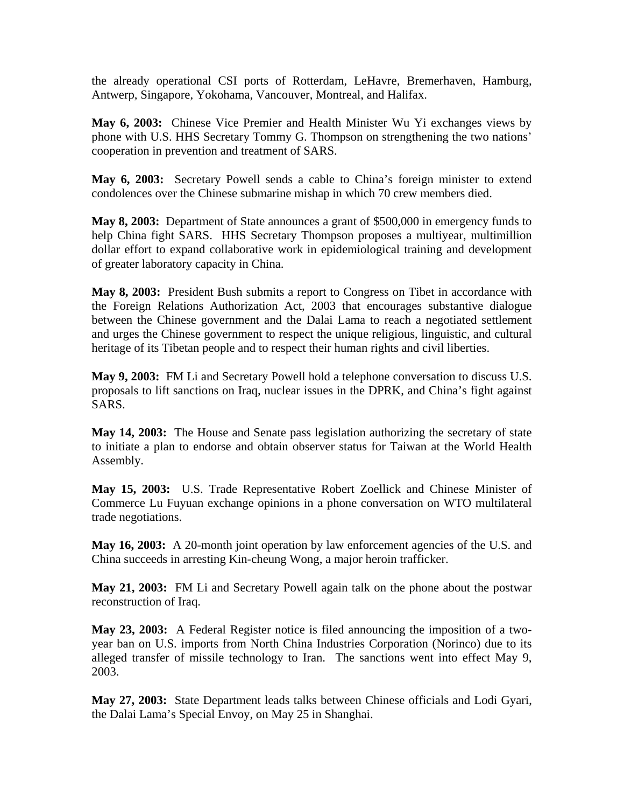the already operational CSI ports of Rotterdam, LeHavre, Bremerhaven, Hamburg, Antwerp, Singapore, Yokohama, Vancouver, Montreal, and Halifax.

**May 6, 2003:** Chinese Vice Premier and Health Minister Wu Yi exchanges views by phone with U.S. HHS Secretary Tommy G. Thompson on strengthening the two nations' cooperation in prevention and treatment of SARS.

**May 6, 2003:** Secretary Powell sends a cable to China's foreign minister to extend condolences over the Chinese submarine mishap in which 70 crew members died.

**May 8, 2003:** Department of State announces a grant of \$500,000 in emergency funds to help China fight SARS. HHS Secretary Thompson proposes a multiyear, multimillion dollar effort to expand collaborative work in epidemiological training and development of greater laboratory capacity in China.

**May 8, 2003:** President Bush submits a report to Congress on Tibet in accordance with the Foreign Relations Authorization Act, 2003 that encourages substantive dialogue between the Chinese government and the Dalai Lama to reach a negotiated settlement and urges the Chinese government to respect the unique religious, linguistic, and cultural heritage of its Tibetan people and to respect their human rights and civil liberties.

**May 9, 2003:** FM Li and Secretary Powell hold a telephone conversation to discuss U.S. proposals to lift sanctions on Iraq, nuclear issues in the DPRK, and China's fight against SARS.

**May 14, 2003:** The House and Senate pass legislation authorizing the secretary of state to initiate a plan to endorse and obtain observer status for Taiwan at the World Health Assembly.

**May 15, 2003:** U.S. Trade Representative Robert Zoellick and Chinese Minister of Commerce Lu Fuyuan exchange opinions in a phone conversation on WTO multilateral trade negotiations.

**May 16, 2003:** A 20-month joint operation by law enforcement agencies of the U.S. and China succeeds in arresting Kin-cheung Wong, a major heroin trafficker.

**May 21, 2003:** FM Li and Secretary Powell again talk on the phone about the postwar reconstruction of Iraq.

**May 23, 2003:** A Federal Register notice is filed announcing the imposition of a twoyear ban on U.S. imports from North China Industries Corporation (Norinco) due to its alleged transfer of missile technology to Iran. The sanctions went into effect May 9, 2003.

**May 27, 2003:** State Department leads talks between Chinese officials and Lodi Gyari, the Dalai Lama's Special Envoy, on May 25 in Shanghai.